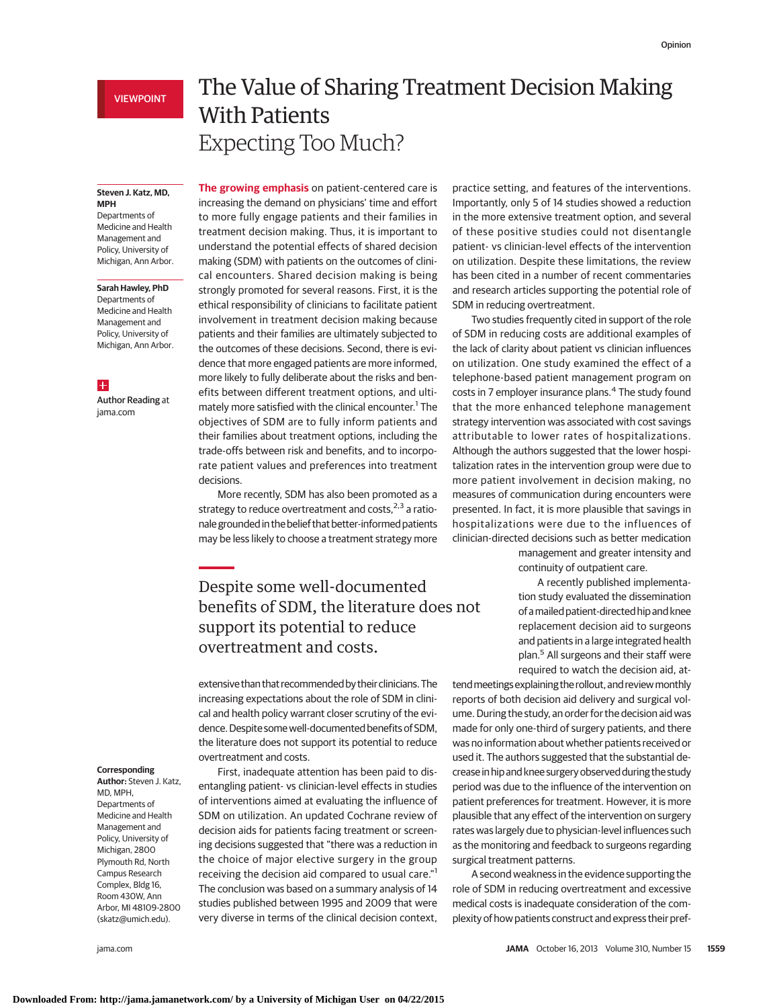### **Steven J. Katz, MD, MPH**

Departments of Medicine and Health Management and Policy, University of Michigan, Ann Arbor.

### **Sarah Hawley, PhD**

Departments of Medicine and Health Management and Policy, University of Michigan, Ann Arbor.

## $\overline{+}$

Author Reading at jama.com

# The Value of Sharing Treatment Decision Making With Patients Expecting Too Much?

**The growing emphasis** on patient-centered care is increasing the demand on physicians' time and effort to more fully engage patients and their families in treatment decision making. Thus, it is important to understand the potential effects of shared decision making (SDM) with patients on the outcomes of clinical encounters. Shared decision making is being strongly promoted for several reasons. First, it is the ethical responsibility of clinicians to facilitate patient involvement in treatment decision making because patients and their families are ultimately subjected to the outcomes of these decisions. Second, there is evidence that more engaged patients are more informed, more likely to fully deliberate about the risks and benefits between different treatment options, and ultimately more satisfied with the clinical encounter.<sup>1</sup> The objectives of SDM are to fully inform patients and their families about treatment options, including the trade-offs between risk and benefits, and to incorporate patient values and preferences into treatment decisions.

More recently, SDM has also been promoted as a strategy to reduce overtreatment and costs, $2,3$  a rationale grounded in the belief that better-informed patients may be less likely to choose a treatment strategy more

# Despite some well-documented benefits of SDM, the literature does not support its potential to reduce overtreatment and costs.

extensive than that recommended by their clinicians. The increasing expectations about the role of SDM in clinical and health policy warrant closer scrutiny of the evidence. Despite some well-documented benefits of SDM, the literature does not support its potential to reduce overtreatment and costs.

First, inadequate attention has been paid to disentangling patient- vs clinician-level effects in studies of interventions aimed at evaluating the influence of SDM on utilization. An updated Cochrane review of decision aids for patients facing treatment or screening decisions suggested that "there was a reduction in the choice of major elective surgery in the group receiving the decision aid compared to usual care."<sup>1</sup> The conclusion was based on a summary analysis of 14 studies published between 1995 and 2009 that were very diverse in terms of the clinical decision context,

### **Corresponding**

**Author:** Steven J. Katz, MD, MPH, Departments of Medicine and Health Management and Policy, University of Michigan, 2800 Plymouth Rd, North Campus Research Complex, Bldg 16, Room 430W, Ann Arbor, MI 48109-2800 (skatz@umich.edu).

practice setting, and features of the interventions. Importantly, only 5 of 14 studies showed a reduction in the more extensive treatment option, and several of these positive studies could not disentangle patient- vs clinician-level effects of the intervention on utilization. Despite these limitations, the review has been cited in a number of recent commentaries and research articles supporting the potential role of SDM in reducing overtreatment.

Two studies frequently cited in support of the role of SDM in reducing costs are additional examples of the lack of clarity about patient vs clinician influences on utilization. One study examined the effect of a telephone-based patient management program on costs in 7 employer insurance plans.<sup>4</sup> The study found that the more enhanced telephone management strategy intervention was associated with cost savings attributable to lower rates of hospitalizations. Although the authors suggested that the lower hospitalization rates in the intervention group were due to more patient involvement in decision making, no measures of communication during encounters were presented. In fact, it is more plausible that savings in hospitalizations were due to the influences of clinician-directed decisions such as better medication

management and greater intensity and continuity of outpatient care.

A recently published implementation study evaluated the dissemination of amailed patient-directed hip and knee replacement decision aid to surgeons and patients in a large integrated health plan.<sup>5</sup> All surgeons and their staff were required to watch the decision aid, at-

tend meetings explaining the rollout, and review monthly reports of both decision aid delivery and surgical volume. During the study, an order for the decision aid was made for only one-third of surgery patients, and there was no information about whether patients received or used it. The authors suggested that the substantial decrease in hip and knee surgery observed during the study period was due to the influence of the intervention on patient preferences for treatment. However, it is more plausible that any effect of the intervention on surgery rates was largely due to physician-level influences such as the monitoring and feedback to surgeons regarding surgical treatment patterns.

A second weakness in the evidence supporting the role of SDM in reducing overtreatment and excessive medical costs is inadequate consideration of the complexity of how patients construct and express their pref